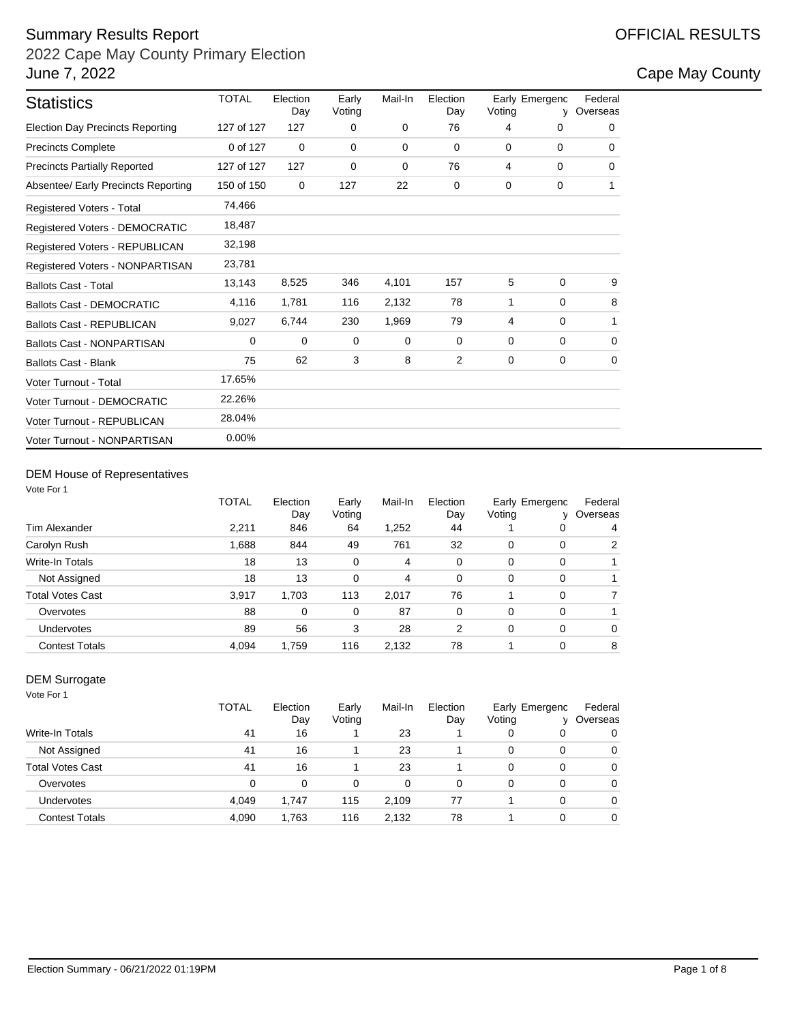# Summary Results Report **Contract Contract Contract Contract Contract Contract Contract Contract Contract Contract Contract Contract Contract Contract Contract Contract Contract Contract Contract Contract Contract Contract**

# 2022 Cape May County Primary Election June 7, 2022 **Cape May County**

| <b>Statistics</b>                       | <b>TOTAL</b> | Election<br>Day | Early<br>Voting | Mail-In | Election<br>Day | Early Emergenc<br>Voting | v           | Federal<br>Overseas |
|-----------------------------------------|--------------|-----------------|-----------------|---------|-----------------|--------------------------|-------------|---------------------|
| <b>Election Day Precincts Reporting</b> | 127 of 127   | 127             | 0               | 0       | 76              | 4                        | 0           | 0                   |
| <b>Precincts Complete</b>               | 0 of 127     | $\mathbf 0$     | 0               | 0       | 0               | 0                        | 0           | 0                   |
| <b>Precincts Partially Reported</b>     | 127 of 127   | 127             | 0               | 0       | 76              | 4                        | $\mathbf 0$ | 0                   |
| Absentee/ Early Precincts Reporting     | 150 of 150   | 0               | 127             | 22      | 0               | 0                        | $\mathbf 0$ | 1                   |
| Registered Voters - Total               | 74,466       |                 |                 |         |                 |                          |             |                     |
| Registered Voters - DEMOCRATIC          | 18,487       |                 |                 |         |                 |                          |             |                     |
| Registered Voters - REPUBLICAN          | 32,198       |                 |                 |         |                 |                          |             |                     |
| Registered Voters - NONPARTISAN         | 23,781       |                 |                 |         |                 |                          |             |                     |
| <b>Ballots Cast - Total</b>             | 13,143       | 8,525           | 346             | 4.101   | 157             | 5                        | $\mathbf 0$ | 9                   |
| <b>Ballots Cast - DEMOCRATIC</b>        | 4,116        | 1,781           | 116             | 2,132   | 78              | 1                        | 0           | 8                   |
| <b>Ballots Cast - REPUBLICAN</b>        | 9,027        | 6,744           | 230             | 1,969   | 79              | 4                        | 0           | 1                   |
| <b>Ballots Cast - NONPARTISAN</b>       | $\Omega$     | 0               | 0               | 0       | $\mathbf 0$     | 0                        | 0           | 0                   |
| <b>Ballots Cast - Blank</b>             | 75           | 62              | 3               | 8       | 2               | 0                        | 0           | $\mathbf 0$         |
| Voter Turnout - Total                   | 17.65%       |                 |                 |         |                 |                          |             |                     |
| Voter Turnout - DEMOCRATIC              | 22.26%       |                 |                 |         |                 |                          |             |                     |
| Voter Turnout - REPUBLICAN              | 28.04%       |                 |                 |         |                 |                          |             |                     |
| Voter Turnout - NONPARTISAN             | $0.00\%$     |                 |                 |         |                 |                          |             |                     |

## DEM House of Representatives

| Vote For 1              |              |                 |                 |         |                 |             |                     |                     |
|-------------------------|--------------|-----------------|-----------------|---------|-----------------|-------------|---------------------|---------------------|
|                         | <b>TOTAL</b> | Election<br>Day | Early<br>Voting | Mail-In | Election<br>Day | Voting      | Early Emergenc<br>ν | Federal<br>Overseas |
| Tim Alexander           | 2,211        | 846             | 64              | 1,252   | 44              |             | 0                   | 4                   |
| Carolyn Rush            | 1,688        | 844             | 49              | 761     | 32              | 0           | 0                   | 2                   |
| <b>Write-In Totals</b>  | 18           | 13              | 0               | 4       | $\mathbf 0$     | 0           | 0                   |                     |
| Not Assigned            | 18           | 13              | 0               | 4       | $\mathbf 0$     | $\mathbf 0$ | 0                   |                     |
| <b>Total Votes Cast</b> | 3,917        | 1,703           | 113             | 2,017   | 76              |             | 0                   |                     |
| Overvotes               | 88           | 0               | 0               | 87      | 0               | 0           | 0                   |                     |
| Undervotes              | 89           | 56              | 3               | 28      | $\overline{2}$  | 0           | 0                   | 0                   |
| <b>Contest Totals</b>   | 4,094        | 1.759           | 116             | 2.132   | 78              |             | 0                   | 8                   |

### DEM Surrogate

| 0                          |
|----------------------------|
| 0                          |
| 0                          |
| 0                          |
| $\Omega$                   |
| 0                          |
| 0<br>0<br>0<br>0<br>0<br>0 |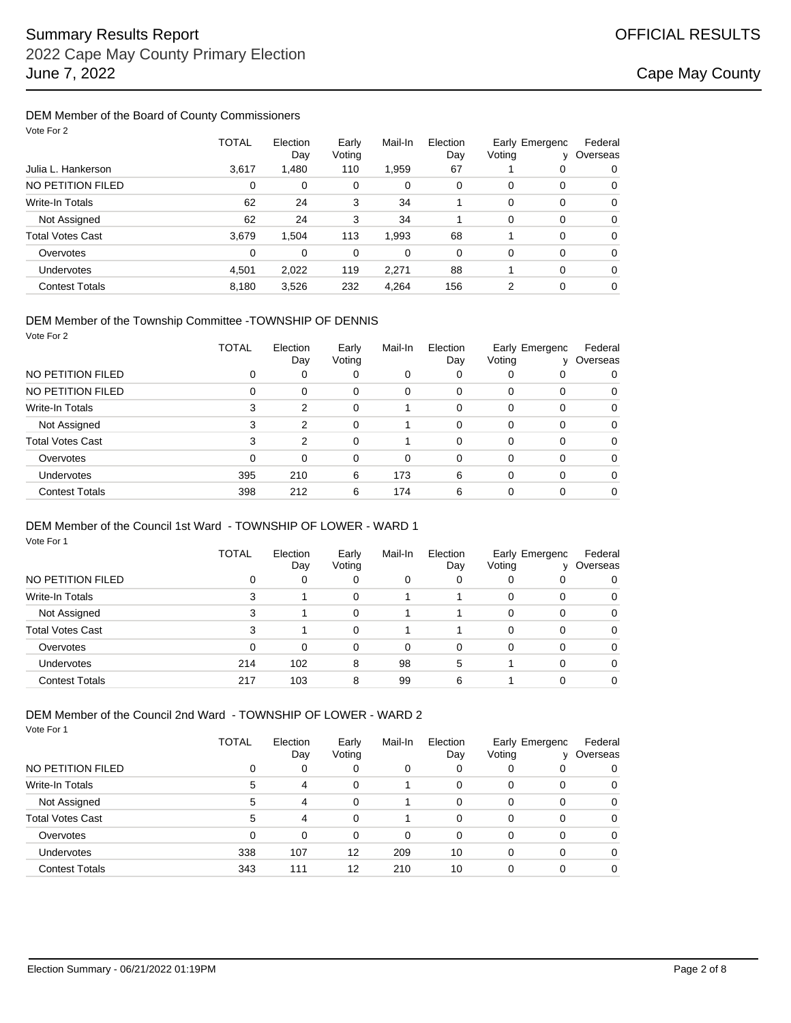## DEM Member of the Board of County Commissioners

Vote For 2

|                        | <b>TOTAL</b> | Election<br>Day | Early<br>Voting | Mail-In | Election<br>Day | Early Emergenc<br>Voting | ν | Federal<br>Overseas |
|------------------------|--------------|-----------------|-----------------|---------|-----------------|--------------------------|---|---------------------|
| Julia L. Hankerson     | 3.617        | 1,480           | 110             | 1,959   | 67              |                          | 0 | 0                   |
| NO PETITION FILED      | 0            | 0               | 0               | 0       | 0               | 0                        | 0 | 0                   |
| <b>Write-In Totals</b> | 62           | 24              | 3               | 34      |                 | 0                        | 0 | 0                   |
| Not Assigned           | 62           | 24              | 3               | 34      |                 | $\Omega$                 | 0 | 0                   |
| Total Votes Cast       | 3,679        | 1,504           | 113             | 1,993   | 68              |                          | 0 | 0                   |
| Overvotes              | 0            | 0               | 0               | 0       | 0               | 0                        | 0 | 0                   |
| Undervotes             | 4,501        | 2,022           | 119             | 2,271   | 88              |                          | 0 | 0                   |
| <b>Contest Totals</b>  | 8.180        | 3.526           | 232             | 4.264   | 156             | 2                        | 0 | 0                   |

### DEM Member of the Township Committee -TOWNSHIP OF DENNIS

Vote For 2

|                         | TOTAL | Election<br>Day | Early<br>Voting | Mail-In | Election<br>Day | Voting | Early Emergenc<br>$\mathsf{v}$ | Federal<br>Overseas |
|-------------------------|-------|-----------------|-----------------|---------|-----------------|--------|--------------------------------|---------------------|
| NO PETITION FILED       | 0     | 0               | 0               | 0       | 0               | 0      | 0                              | 0                   |
| NO PETITION FILED       | 0     | 0               | 0               | 0       | 0               | 0      | 0                              | 0                   |
| Write-In Totals         | 3     | 2               | $\Omega$        |         | 0               | 0      | 0                              | $\mathbf 0$         |
| Not Assigned            | 3     | 2               | 0               |         | 0               | 0      | $\Omega$                       | 0                   |
| <b>Total Votes Cast</b> | 3     | 2               | 0               |         | $\Omega$        | 0      | $\Omega$                       | 0                   |
| Overvotes               | 0     | 0               | 0               | 0       | 0               | 0      | 0                              | 0                   |
| <b>Undervotes</b>       | 395   | 210             | 6               | 173     | 6               | 0      | $\Omega$                       | 0                   |
| <b>Contest Totals</b>   | 398   | 212             | 6               | 174     | 6               | 0      | 0                              | 0                   |

## DEM Member of the Council 1st Ward - TOWNSHIP OF LOWER - WARD 1

Vote For 1

|                        | <b>TOTAL</b> | Election<br>Day | Early<br>Voting | Mail-In | Election<br>Day | Voting | Early Emergenc<br>v | Federal<br>Overseas |
|------------------------|--------------|-----------------|-----------------|---------|-----------------|--------|---------------------|---------------------|
| NO PETITION FILED      | 0            | 0               | 0               | 0       | 0               | 0      | 0                   | 0                   |
| <b>Write-In Totals</b> | 3            |                 | 0               |         |                 | 0      | 0                   | 0                   |
| Not Assigned           | 3            |                 | 0               |         |                 | 0      | 0                   | 0                   |
| Total Votes Cast       | 3            |                 | 0               |         |                 | 0      | $\Omega$            | 0                   |
| Overvotes              | 0            | 0               | 0               | 0       | 0               | 0      | 0                   | $\mathbf 0$         |
| <b>Undervotes</b>      | 214          | 102             | 8               | 98      | 5               |        | 0                   | 0                   |
| <b>Contest Totals</b>  | 217          | 103             | 8               | 99      | 6               |        | 0                   | 0                   |

### Vote For 1 DEM Member of the Council 2nd Ward - TOWNSHIP OF LOWER - WARD 2

|                         | <b>TOTAL</b> | Election<br>Day | Early<br>Voting   | Mail-In | Election<br>Day | Voting | Early Emergenc<br>v | Federal<br>Overseas |
|-------------------------|--------------|-----------------|-------------------|---------|-----------------|--------|---------------------|---------------------|
| NO PETITION FILED       | 0            | 0               | 0                 | 0       | 0               | 0      | 0                   | 0                   |
| Write-In Totals         | 5            | 4               | 0                 |         | 0               | 0      | 0                   | 0                   |
| Not Assigned            | 5            | 4               | 0                 |         | 0               | 0      | 0                   | 0                   |
| <b>Total Votes Cast</b> | 5            | 4               | 0                 |         | 0               | 0      | 0                   | 0                   |
| Overvotes               | 0            | 0               | 0                 | 0       | 0               | 0      | 0                   | 0                   |
| <b>Undervotes</b>       | 338          | 107             | $12 \overline{ }$ | 209     | 10              | 0      | 0                   | 0                   |
| <b>Contest Totals</b>   | 343          | 111             | 12                | 210     | 10              | 0      | 0                   | 0                   |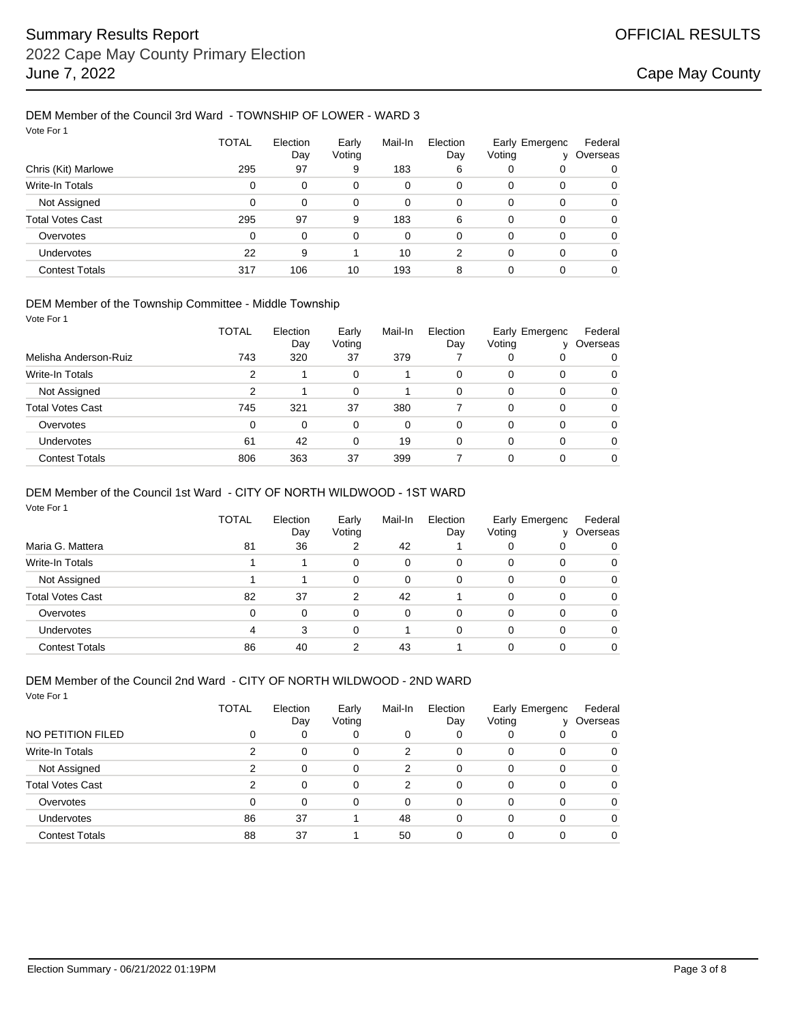### Vote For 1 DEM Member of the Council 3rd Ward - TOWNSHIP OF LOWER - WARD 3

| VOLE FOR 1              |              |                 |                 |         |                 |        |                     |                     |
|-------------------------|--------------|-----------------|-----------------|---------|-----------------|--------|---------------------|---------------------|
|                         | <b>TOTAL</b> | Election<br>Day | Early<br>Voting | Mail-In | Election<br>Day | Voting | Early Emergenc<br>v | Federal<br>Overseas |
| Chris (Kit) Marlowe     | 295          | 97              | 9               | 183     | 6               | 0      | 0                   | 0                   |
| Write-In Totals         | 0            | 0               | 0               | 0       | 0               | 0      | 0                   | 0                   |
| Not Assigned            | 0            | 0               | 0               | 0       | 0               | 0      | 0                   | 0                   |
| <b>Total Votes Cast</b> | 295          | 97              | 9               | 183     | 6               | 0      | 0                   | $\mathbf 0$         |
| Overvotes               | 0            | 0               | 0               | 0       | 0               | 0      | 0                   | 0                   |
| Undervotes              | 22           | 9               |                 | 10      | 2               | 0      | $\Omega$            | 0                   |
| <b>Contest Totals</b>   | 317          | 106             | 10              | 193     | 8               | 0      | 0                   | 0                   |

### DEM Member of the Township Committee - Middle Township

| Vote For 1              |                |                 |                 |         |                 |                          |   |                       |
|-------------------------|----------------|-----------------|-----------------|---------|-----------------|--------------------------|---|-----------------------|
|                         | <b>TOTAL</b>   | Election<br>Day | Early<br>Voting | Mail-In | Election<br>Day | Early Emergenc<br>Voting |   | Federal<br>v Overseas |
| Melisha Anderson-Ruiz   | 743            | 320             | 37              | 379     |                 | 0                        | 0 | 0                     |
| Write-In Totals         | $\overline{2}$ |                 | 0               |         | 0               | $\Omega$                 | 0 | 0                     |
| Not Assigned            | $\overline{2}$ |                 | 0               |         | 0               | 0                        | 0 | 0                     |
| <b>Total Votes Cast</b> | 745            | 321             | 37              | 380     |                 | $\Omega$                 | 0 | 0                     |
| Overvotes               | 0              | 0               | 0               | 0       | 0               | 0                        | 0 | 0                     |
| Undervotes              | 61             | 42              | 0               | 19      | 0               | $\Omega$                 | 0 | 0                     |
| <b>Contest Totals</b>   | 806            | 363             | 37              | 399     |                 | 0                        | 0 | 0                     |

## DEM Member of the Council 1st Ward - CITY OF NORTH WILDWOOD - 1ST WARD

Vote For 1

|                         | <b>TOTAL</b> | Election<br>Dav | Early<br>Voting | Mail-In | Election<br>Day | Voting   | Early Emergenc<br>v | Federal<br>Overseas |
|-------------------------|--------------|-----------------|-----------------|---------|-----------------|----------|---------------------|---------------------|
| Maria G. Mattera        | 81           | 36              | 2               | 42      |                 |          | 0                   | $\Omega$            |
| Write-In Totals         |              |                 | $\Omega$        | 0       | 0               | 0        | $\Omega$            | $\Omega$            |
| Not Assigned            |              |                 | 0               | 0       | 0               | 0        | 0                   | 0                   |
| <b>Total Votes Cast</b> | 82           | 37              | 2               | 42      |                 | $\Omega$ | 0                   | $\Omega$            |
| Overvotes               | 0            | $\Omega$        | 0               | 0       | 0               | 0        | 0                   | 0                   |
| <b>Undervotes</b>       | 4            | 3               | $\Omega$        |         | 0               | 0        | 0                   | 0                   |
| <b>Contest Totals</b>   | 86           | 40              | 2               | 43      |                 |          | 0                   | 0                   |

## DEM Member of the Council 2nd Ward - CITY OF NORTH WILDWOOD - 2ND WARD

|                         | <b>TOTAL</b> | Election<br>Day | Early<br>Voting | Mail-In | Election<br>Day | Voting | Early Emergenc<br>v | Federal<br>Overseas |
|-------------------------|--------------|-----------------|-----------------|---------|-----------------|--------|---------------------|---------------------|
| NO PETITION FILED       | 0            | 0               | 0               | 0       | 0               | 0      | 0                   | 0                   |
| Write-In Totals         | 2            | 0               | 0               | 2       | 0               | 0      | 0                   | 0                   |
| Not Assigned            | 2            | 0               | 0               | 2       | 0               | 0      | 0                   | 0                   |
| <b>Total Votes Cast</b> | 2            | 0               | 0               | 2       | 0               | 0      | 0                   | 0                   |
| Overvotes               | 0            | 0               | 0               | 0       | 0               | 0      | $\Omega$            | 0                   |
| <b>Undervotes</b>       | 86           | 37              |                 | 48      | 0               | 0      | 0                   | 0                   |
| <b>Contest Totals</b>   | 88           | 37              |                 | 50      | 0               | 0      | 0                   | 0                   |
|                         |              |                 |                 |         |                 |        |                     |                     |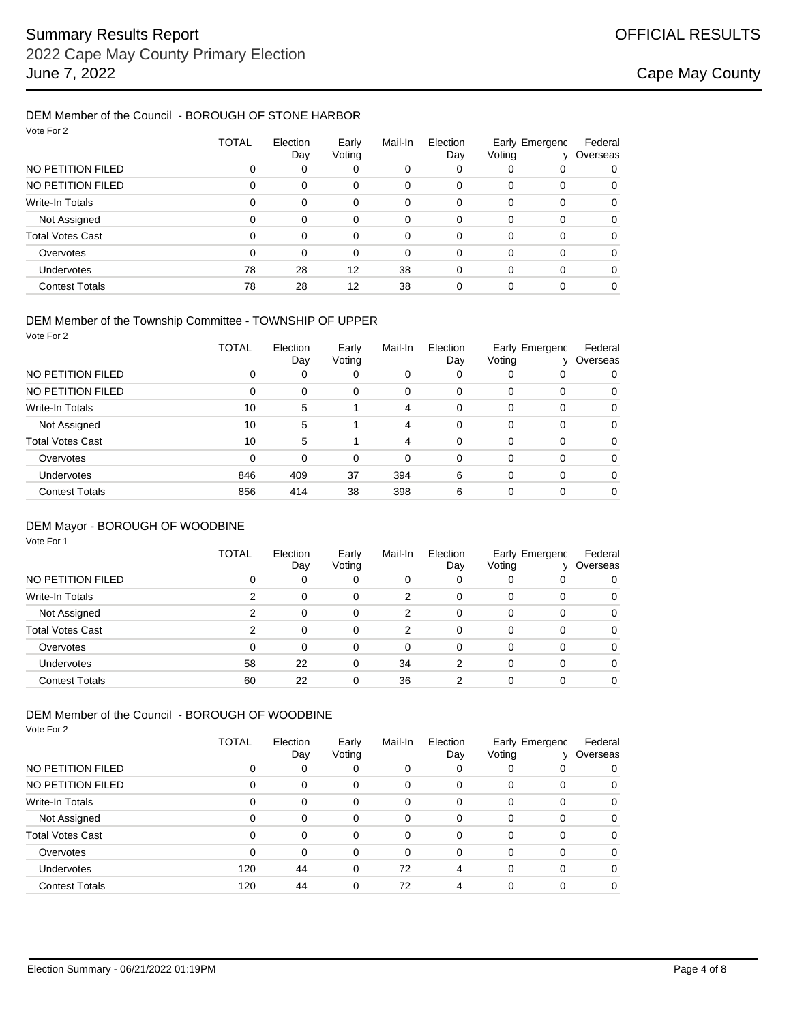### Vote For 2 DEM Member of the Council - BOROUGH OF STONE HARBOR

| VUIT I UI Z             |              |                 |                 |          |                 |        |                     |                     |
|-------------------------|--------------|-----------------|-----------------|----------|-----------------|--------|---------------------|---------------------|
|                         | <b>TOTAL</b> | Election<br>Day | Early<br>Voting | Mail-In  | Election<br>Day | Voting | Early Emergenc<br>v | Federal<br>Overseas |
| NO PETITION FILED       | 0            | 0               | 0               | 0        | 0               |        | 0                   | 0                   |
| NO PETITION FILED       | 0            | 0               | 0               | 0        | 0               | 0      | 0                   | 0                   |
| <b>Write-In Totals</b>  | $\Omega$     | 0               | 0               | 0        | 0               | 0      | 0                   | 0                   |
| Not Assigned            | 0            | 0               | $\Omega$        | 0        | 0               | 0      | 0                   | 0                   |
| <b>Total Votes Cast</b> | 0            | 0               | $\Omega$        | $\Omega$ | 0               | 0      | $\Omega$            | 0                   |
| Overvotes               | 0            | 0               | $\Omega$        | 0        | 0               | 0      | $\Omega$            | 0                   |
| <b>Undervotes</b>       | 78           | 28              | 12              | 38       | 0               | 0      | $\Omega$            | 0                   |
| <b>Contest Totals</b>   | 78           | 28              | 12              | 38       | 0               |        | 0                   | 0                   |

### DEM Member of the Township Committee - TOWNSHIP OF UPPER

Vote For 2

|                         | <b>TOTAL</b> | Election<br>Day | Early<br>Voting | Mail-In | Election<br>Day | Voting | Early Emergenc<br>V. | Federal<br>Overseas |
|-------------------------|--------------|-----------------|-----------------|---------|-----------------|--------|----------------------|---------------------|
| NO PETITION FILED       | 0            | 0               | 0               | 0       | 0               | 0      | 0                    | 0                   |
| NO PETITION FILED       | 0            | 0               | 0               | 0       | 0               | 0      | 0                    | 0                   |
| Write-In Totals         | 10           | 5               |                 | 4       | 0               | 0      | 0                    | 0                   |
| Not Assigned            | 10           | 5               |                 | 4       | 0               | 0      | 0                    | 0                   |
| <b>Total Votes Cast</b> | 10           | 5               |                 | 4       | 0               | 0      | 0                    | 0                   |
| Overvotes               | 0            | 0               | 0               | 0       | 0               | 0      | 0                    | 0                   |
| Undervotes              | 846          | 409             | 37              | 394     | 6               | 0      | 0                    | 0                   |
| <b>Contest Totals</b>   | 856          | 414             | 38              | 398     | 6               | 0      | 0                    | 0                   |

## DEM Mayor - BOROUGH OF WOODBINE

Vote For 1

|                         | <b>TOTAL</b> | Election<br>Day | Early<br>Voting | Mail-In  | Election<br>Day | Voting | Early Emergenc<br>v | Federal<br>Overseas |
|-------------------------|--------------|-----------------|-----------------|----------|-----------------|--------|---------------------|---------------------|
| NO PETITION FILED       | 0            | 0               | 0               | 0        | 0               | O      | 0                   | 0                   |
| <b>Write-In Totals</b>  | 2            | $\Omega$        | 0               | 2        | 0               | 0      | 0                   | 0                   |
| Not Assigned            | 2            | 0               | $\Omega$        | 2        | 0               | 0      | 0                   | $\overline{0}$      |
| <b>Total Votes Cast</b> | 2            | $\Omega$        | 0               | 2        | 0               | 0      | 0                   | 0                   |
| Overvotes               | $\Omega$     | 0               | 0               | $\Omega$ | $\Omega$        | 0      | 0                   | 0                   |
| <b>Undervotes</b>       | 58           | 22              | $\Omega$        | 34       | 2               | 0      | 0                   | 0                   |
| <b>Contest Totals</b>   | 60           | 22              | 0               | 36       | 2               | 0      | 0                   | 0                   |

## DEM Member of the Council - BOROUGH OF WOODBINE

|                         | <b>TOTAL</b> | Election<br>Day | Early<br>Voting | Mail-In  | Election<br>Day | Voting | Early Emergenc<br>v | Federal<br>Overseas |
|-------------------------|--------------|-----------------|-----------------|----------|-----------------|--------|---------------------|---------------------|
| NO PETITION FILED       | 0            | 0               | 0               | 0        | 0               |        | 0                   | 0                   |
| NO PETITION FILED       | 0            | 0               | 0               | 0        | 0               | 0      | 0                   | 0                   |
| Write-In Totals         | 0            | 0               | 0               | 0        | 0               | 0      | 0                   | 0                   |
| Not Assigned            | 0            | 0               | 0               | 0        | 0               | 0      | 0                   | 0                   |
| <b>Total Votes Cast</b> | 0            | 0               | 0               | 0        | 0               | 0      | $\Omega$            | 0                   |
| Overvotes               | 0            | $\Omega$        | 0               | $\Omega$ | 0               | 0      | $\Omega$            | 0                   |
| <b>Undervotes</b>       | 120          | 44              | $\Omega$        | 72       | 4               | 0      | $\Omega$            | 0                   |
| <b>Contest Totals</b>   | 120          | 44              | 0               | 72       |                 |        | 0                   | 0                   |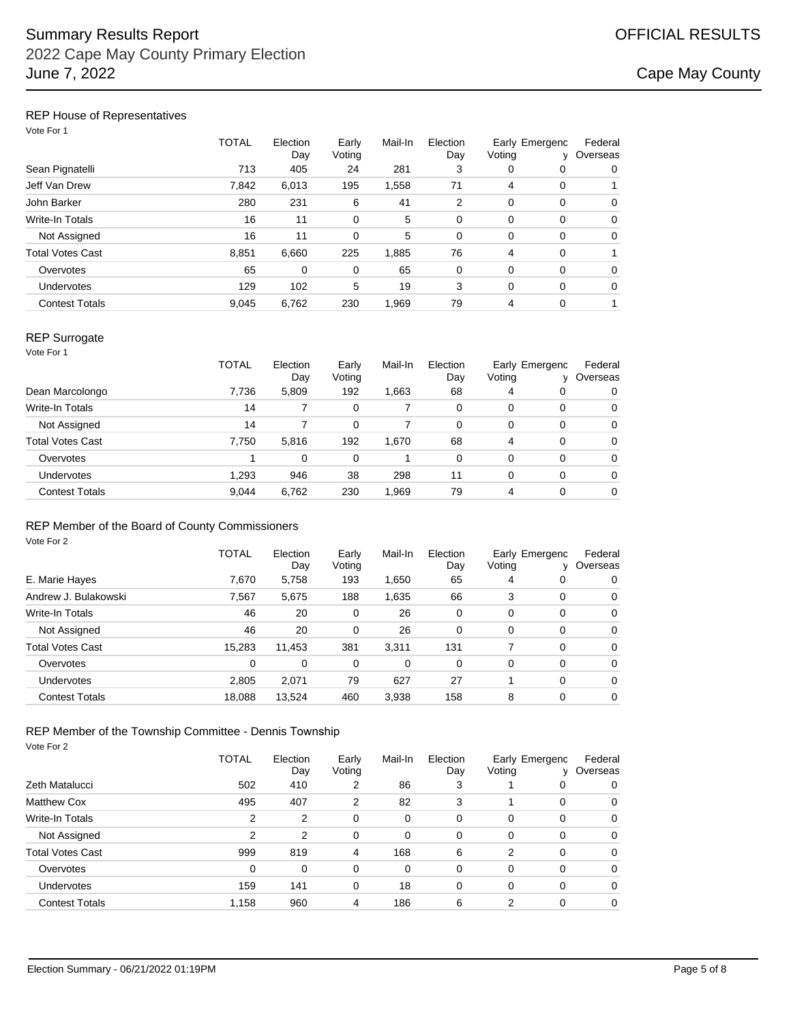## REP House of Representatives

Vote For 1

|                         | <b>TOTAL</b> | Election<br>Day | Early<br>Voting | Mail-In | Election<br>Day | Early Emergenc<br>Voting | ν | Federal<br>Overseas |
|-------------------------|--------------|-----------------|-----------------|---------|-----------------|--------------------------|---|---------------------|
| Sean Pignatelli         | 713          | 405             | 24              | 281     | 3               | 0                        | 0 | 0                   |
| Jeff Van Drew           | 7,842        | 6,013           | 195             | 1,558   | 71              | 4                        | 0 |                     |
| John Barker             | 280          | 231             | 6               | 41      | 2               | 0                        | 0 | 0                   |
| Write-In Totals         | 16           | 11              | $\Omega$        | 5       | $\mathbf 0$     | 0                        | 0 | 0                   |
| Not Assigned            | 16           | 11              | 0               | 5       | 0               | 0                        | 0 | 0                   |
| <b>Total Votes Cast</b> | 8,851        | 6,660           | 225             | 1,885   | 76              | 4                        | 0 |                     |
| Overvotes               | 65           | 0               | 0               | 65      | 0               | 0                        | 0 | 0                   |
| <b>Undervotes</b>       | 129          | 102             | 5               | 19      | 3               | 0                        | 0 | 0                   |
| <b>Contest Totals</b>   | 9.045        | 6,762           | 230             | 1,969   | 79              | 4                        | 0 |                     |

### REP Surrogate

Vote For 1

| <b>TOTAL</b> | Election<br>Day | Early<br>Voting | Mail-In | Election<br>Day | Voting | v | Federal<br>Overseas |
|--------------|-----------------|-----------------|---------|-----------------|--------|---|---------------------|
| 7.736        | 5.809           | 192             | 1.663   | 68              | 4      | 0 | 0                   |
| 14           |                 | 0               |         | 0               | 0      | 0 | 0                   |
| 14           |                 | $\Omega$        |         | 0               | 0      | 0 | 0                   |
| 7.750        | 5.816           | 192             | 1.670   | 68              | 4      | 0 | 0                   |
|              | 0               | $\Omega$        |         | 0               | 0      | 0 | 0                   |
| 1,293        | 946             | 38              | 298     | 11              | 0      | 0 | 0                   |
| 9,044        | 6,762           | 230             | 1,969   | 79              | 4      | 0 | 0                   |
|              |                 |                 |         |                 |        |   | Early Emergenc      |

## REP Member of the Board of County Commissioners

Vote For 2

|                         | <b>TOTAL</b> | Election<br>Day | Early<br>Voting | Mail-In | Election<br>Day | Voting | Early Emergenc<br>$\mathsf{v}$ | Federal<br>Overseas |
|-------------------------|--------------|-----------------|-----------------|---------|-----------------|--------|--------------------------------|---------------------|
| E. Marie Hayes          | 7,670        | 5,758           | 193             | 1,650   | 65              | 4      | 0                              | 0                   |
| Andrew J. Bulakowski    | 7,567        | 5,675           | 188             | 1,635   | 66              | 3      | 0                              | 0                   |
| Write-In Totals         | 46           | 20              | 0               | 26      | 0               | 0      | 0                              | $\mathbf 0$         |
| Not Assigned            | 46           | 20              | 0               | 26      | 0               | 0      | 0                              | $\mathbf 0$         |
| <b>Total Votes Cast</b> | 15.283       | 11,453          | 381             | 3,311   | 131             | 7      | 0                              | $\mathbf 0$         |
| Overvotes               | 0            | 0               | 0               | 0       | 0               | 0      | 0                              | 0                   |
| <b>Undervotes</b>       | 2,805        | 2,071           | 79              | 627     | 27              |        | 0                              | 0                   |
| <b>Contest Totals</b>   | 18,088       | 13,524          | 460             | 3,938   | 158             | 8      | 0                              | 0                   |
|                         |              |                 |                 |         |                 |        |                                |                     |

## REP Member of the Township Committee - Dennis Township

| Vote For 2              |              |                 |                 |         |                 |          |                |                       |
|-------------------------|--------------|-----------------|-----------------|---------|-----------------|----------|----------------|-----------------------|
|                         | <b>TOTAL</b> | Election<br>Day | Early<br>Voting | Mail-In | Election<br>Day | Voting   | Early Emergenc | Federal<br>y Overseas |
| Zeth Matalucci          | 502          | 410             | 2               | 86      | 3               |          | 0              | 0                     |
| <b>Matthew Cox</b>      | 495          | 407             | 2               | 82      | 3               |          | 0              | $\Omega$              |
| <b>Write-In Totals</b>  | 2            | 2               | 0               | 0       | 0               | 0        | 0              | $\Omega$              |
| Not Assigned            | 2            | 2               | 0               | 0       | $\mathbf 0$     | $\Omega$ | 0              | 0                     |
| <b>Total Votes Cast</b> | 999          | 819             | 4               | 168     | 6               | 2        | 0              | $\Omega$              |
| Overvotes               | 0            | 0               | 0               | 0       | 0               | 0        | 0              | 0                     |
| Undervotes              | 159          | 141             | $\Omega$        | 18      | 0               | $\Omega$ | 0              | 0                     |
| <b>Contest Totals</b>   | 1,158        | 960             | 4               | 186     | 6               | 2        | 0              | 0                     |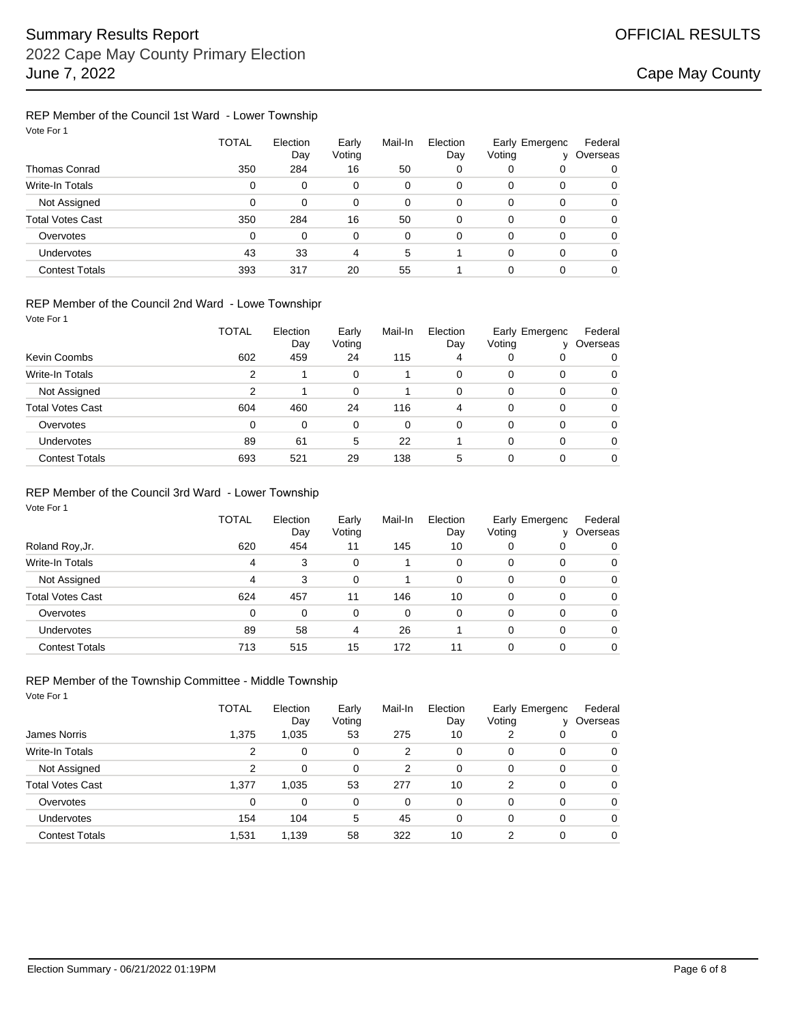## REP Member of the Council 1st Ward - Lower Township

|                       | <b>TOTAL</b> | Election<br>Day | Early<br>Voting | Mail-In  | Election<br>Day | Early Emergenc<br>Voting | ν | Federal<br>Overseas |
|-----------------------|--------------|-----------------|-----------------|----------|-----------------|--------------------------|---|---------------------|
| <b>Thomas Conrad</b>  | 350          | 284             | 16              | 50       | 0               | 0                        | 0 | 0                   |
| Write-In Totals       | 0            | 0               | 0               | 0        | 0               | 0                        | 0 | 0                   |
| Not Assigned          | 0            | 0               | 0               | 0        | 0               | 0                        | 0 | 0                   |
| Total Votes Cast      | 350          | 284             | 16              | 50       | 0               | $\Omega$                 | 0 | 0                   |
| Overvotes             | 0            | 0               | 0               | $\Omega$ | 0               | 0                        | 0 | 0                   |
| Undervotes            | 43           | 33              | 4               | 5        |                 | $\Omega$                 | 0 | 0                   |
| <b>Contest Totals</b> | 393          | 317             | 20              | 55       |                 | 0                        | 0 | 0                   |

### REP Member of the Council 2nd Ward - Lowe Townshipr

| Vote For 1              |              |                 |                 |         |                 |        |                     |                     |
|-------------------------|--------------|-----------------|-----------------|---------|-----------------|--------|---------------------|---------------------|
|                         | <b>TOTAL</b> | Election<br>Day | Early<br>Voting | Mail-In | Election<br>Day | Voting | Early Emergenc<br>v | Federal<br>Overseas |
| Kevin Coombs            | 602          | 459             | 24              | 115     | 4               | 0      | 0                   | 0                   |
| <b>Write-In Totals</b>  | 2            |                 | 0               |         | 0               | 0      | 0                   | 0                   |
| Not Assigned            | 2            |                 | 0               |         | 0               | 0      | 0                   | 0                   |
| <b>Total Votes Cast</b> | 604          | 460             | 24              | 116     | 4               | 0      | 0                   | 0                   |
| Overvotes               | 0            | 0               | 0               | 0       | 0               | 0      | 0                   | 0                   |
| Undervotes              | 89           | 61              | 5               | 22      |                 | 0      | 0                   | 0                   |
| <b>Contest Totals</b>   | 693          | 521             | 29              | 138     | 5               | 0      | $\Omega$            | 0                   |

### REP Member of the Council 3rd Ward - Lower Township

Vote For 1

|                         | <b>TOTAL</b> | Election<br>Day | Early<br>Voting | Mail-In | Election<br>Day | Voting | Early Emergenc<br>v | Federal<br>Overseas |
|-------------------------|--------------|-----------------|-----------------|---------|-----------------|--------|---------------------|---------------------|
| Roland Roy, Jr.         | 620          | 454             | 11              | 145     | 10              | 0      | 0                   | 0                   |
| <b>Write-In Totals</b>  | 4            | 3               | 0               |         | 0               | 0      | 0                   | $\mathbf 0$         |
| Not Assigned            | 4            | 3               | 0               |         | 0               | 0      | 0                   | 0                   |
| <b>Total Votes Cast</b> | 624          | 457             | 11              | 146     | 10              | 0      | 0                   | $\mathbf 0$         |
| Overvotes               | 0            | 0               | 0               | 0       | 0               | 0      | 0                   | 0                   |
| <b>Undervotes</b>       | 89           | 58              | 4               | 26      |                 | 0      | 0                   | 0                   |
| <b>Contest Totals</b>   | 713          | 515             | 15              | 172     | 11              | 0      | 0                   | $\Omega$            |

### REP Member of the Township Committee - Middle Township

| <b>TOTAL</b> | Election<br>Day | Early<br>Voting | Mail-In | Election<br>Day | Voting | v | Federal<br>Overseas |
|--------------|-----------------|-----------------|---------|-----------------|--------|---|---------------------|
| 1,375        | 1,035           | 53              | 275     | 10              | 2      | 0 | 0                   |
| 2            | 0               | 0               | 2       | 0               | 0      | 0 | 0                   |
| 2            | 0               | 0               | 2       | 0               | 0      | 0 | 0                   |
| 1.377        | 1,035           | 53              | 277     | 10              | 2      | 0 | 0                   |
| 0            | 0               | 0               | 0       | 0               | 0      | 0 | 0                   |
| 154          | 104             | 5               | 45      | 0               | 0      | 0 | 0                   |
| 1,531        | 1,139           | 58              | 322     | 10              | 2      | 0 | 0                   |
|              |                 |                 |         |                 |        |   | Early Emergenc      |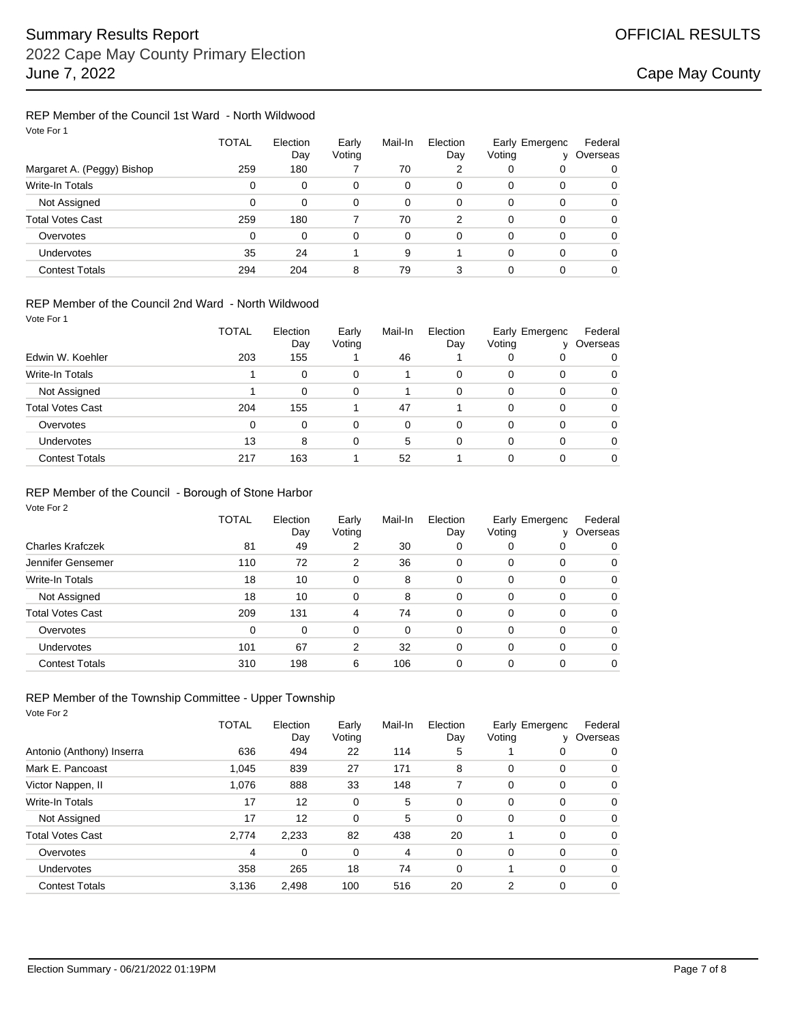## REP Member of the Council 1st Ward - North Wildwood

|                            | <b>TOTAL</b> | Election<br>Day | Early<br>Voting | Mail-In  | Election<br>Day | Early Emergenc<br>Voting | ν | Federal<br>Overseas |
|----------------------------|--------------|-----------------|-----------------|----------|-----------------|--------------------------|---|---------------------|
| Margaret A. (Peggy) Bishop | 259          | 180             |                 | 70       | 2               | 0                        | 0 | 0                   |
| <b>Write-In Totals</b>     | 0            | 0               | 0               | $\Omega$ | 0               | 0                        | 0 | 0                   |
| Not Assigned               | 0            | 0               | 0               | $\Omega$ | 0               | 0                        | 0 | 0                   |
| Total Votes Cast           | 259          | 180             |                 | 70       | 2               | 0                        | 0 | 0                   |
| Overvotes                  | 0            | 0               | 0               | $\Omega$ | 0               | 0                        | 0 | 0                   |
| Undervotes                 | 35           | 24              |                 | 9        |                 | 0                        | 0 | 0                   |
| <b>Contest Totals</b>      | 294          | 204             | 8               | 79       |                 | 0                        |   | 0                   |

### REP Member of the Council 2nd Ward - North Wildwood

| Vote For 1            |              |                 |                 |         |                 |        |                                |                     |
|-----------------------|--------------|-----------------|-----------------|---------|-----------------|--------|--------------------------------|---------------------|
|                       | <b>TOTAL</b> | Election<br>Day | Early<br>Voting | Mail-In | Election<br>Day | Voting | Early Emergenc<br>$\mathsf{v}$ | Federal<br>Overseas |
| Edwin W. Koehler      | 203          | 155             |                 | 46      |                 | 0      | 0                              | 0                   |
| Write-In Totals       |              | 0               | 0               |         | 0               | 0      | 0                              | $\Omega$            |
| Not Assigned          |              | $\Omega$        | 0               |         | 0               | 0      | 0                              | $\Omega$            |
| Total Votes Cast      | 204          | 155             |                 | 47      |                 | 0      | 0                              | $\Omega$            |
| Overvotes             | 0            | 0               | 0               | 0       | 0               | 0      | 0                              | $\Omega$            |
| Undervotes            | 13           | 8               | 0               | 5       | 0               | 0      | $\Omega$                       | $\Omega$            |
| <b>Contest Totals</b> | 217          | 163             |                 | 52      |                 | 0      | $\Omega$                       | $\Omega$            |

### REP Member of the Council - Borough of Stone Harbor

Vote For 2

|                       | <b>TOTAL</b> | Election<br>Day | Early<br>Voting | Mail-In | Election<br>Day | Voting   | Early Emergenc | Federal<br>v Overseas |
|-----------------------|--------------|-----------------|-----------------|---------|-----------------|----------|----------------|-----------------------|
| Charles Krafczek      | 81           | 49              | 2               | 30      | 0               | 0        | 0              | 0                     |
| Jennifer Gensemer     | 110          | 72              | 2               | 36      | 0               | 0        | 0              | 0                     |
| Write-In Totals       | 18           | 10              | 0               | 8       | 0               | 0        | 0              | 0                     |
| Not Assigned          | 18           | 10              | 0               | 8       | 0               | 0        | 0              | $\mathbf 0$           |
| Total Votes Cast      | 209          | 131             | 4               | 74      | 0               | 0        | 0              | $\mathbf 0$           |
| Overvotes             | 0            | 0               | 0               | 0       | 0               | 0        | 0              | 0                     |
| <b>Undervotes</b>     | 101          | 67              | 2               | 32      | 0               | 0        | 0              | 0                     |
| <b>Contest Totals</b> | 310          | 198             | 6               | 106     | 0               | $\Omega$ | 0              | 0                     |

# REP Member of the Township Committee - Upper Township

|                           | <b>TOTAL</b> | Election<br>Day | Early<br>Voting | Mail-In | Election<br>Day | Voting | Early Emergenc<br>v | Federal<br>Overseas |
|---------------------------|--------------|-----------------|-----------------|---------|-----------------|--------|---------------------|---------------------|
| Antonio (Anthony) Inserra | 636          | 494             | 22              | 114     | 5               |        | 0                   | 0                   |
| Mark E. Pancoast          | 1,045        | 839             | 27              | 171     | 8               | 0      | 0                   | 0                   |
| Victor Nappen, II         | 1,076        | 888             | 33              | 148     |                 | 0      | 0                   | 0                   |
| <b>Write-In Totals</b>    | 17           | 12              | 0               | 5       | 0               | 0      | 0                   | 0                   |
| Not Assigned              | 17           | 12              | 0               | 5       | 0               | 0      | 0                   | 0                   |
| <b>Total Votes Cast</b>   | 2,774        | 2,233           | 82              | 438     | 20              |        | 0                   | 0                   |
| Overvotes                 | 4            | 0               | 0               | 4       | 0               | 0      | 0                   | 0                   |
| <b>Undervotes</b>         | 358          | 265             | 18              | 74      | 0               |        | 0                   | 0                   |
| <b>Contest Totals</b>     | 3,136        | 2,498           | 100             | 516     | 20              | 2      | 0                   | 0                   |